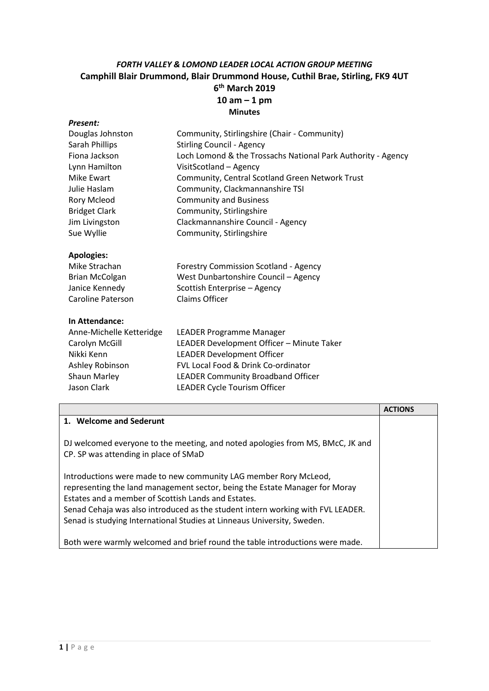## *FORTH VALLEY & LOMOND LEADER LOCAL ACTION GROUP MEETING* **Camphill Blair Drummond, Blair Drummond House, Cuthil Brae, Stirling, FK9 4UT 6 th March 2019 10 am – 1 pm Minutes**

| Present:                 |                                                              |
|--------------------------|--------------------------------------------------------------|
| Douglas Johnston         | Community, Stirlingshire (Chair - Community)                 |
| Sarah Phillips           | <b>Stirling Council - Agency</b>                             |
| Fiona Jackson            | Loch Lomond & the Trossachs National Park Authority - Agency |
| Lynn Hamilton            | VisitScotland - Agency                                       |
| Mike Ewart               | Community, Central Scotland Green Network Trust              |
| Julie Haslam             | Community, Clackmannanshire TSI                              |
| Rory Mcleod              | <b>Community and Business</b>                                |
| <b>Bridget Clark</b>     | Community, Stirlingshire                                     |
| Jim Livingston           | Clackmannanshire Council - Agency                            |
| Sue Wyllie               | Community, Stirlingshire                                     |
|                          |                                                              |
| <b>Apologies:</b>        |                                                              |
| Mike Strachan            | Forestry Commission Scotland - Agency                        |
| <b>Brian McColgan</b>    | West Dunbartonshire Council - Agency                         |
| Janice Kennedy           | Scottish Enterprise - Agency                                 |
| <b>Caroline Paterson</b> | <b>Claims Officer</b>                                        |
|                          |                                                              |
| In Attendance:           |                                                              |
| Anne-Michelle Ketteridge | LEADER Programme Manager                                     |
| Carolyn McGill           | LEADER Development Officer - Minute Taker                    |
| Nikki Kenn               | <b>LEADER Development Officer</b>                            |
| Ashley Robinson          | FVL Local Food & Drink Co-ordinator                          |
| Shaun Marley             | <b>LEADER Community Broadband Officer</b>                    |
| Jason Clark              | LEADER Cycle Tourism Officer                                 |
|                          |                                                              |

|                                                                                                                                                 | <b>ACTIONS</b> |
|-------------------------------------------------------------------------------------------------------------------------------------------------|----------------|
| 1. Welcome and Sederunt                                                                                                                         |                |
| DJ welcomed everyone to the meeting, and noted apologies from MS, BMcC, JK and<br>CP. SP was attending in place of SMaD                         |                |
|                                                                                                                                                 |                |
| Introductions were made to new community LAG member Rory McLeod,<br>representing the land management sector, being the Estate Manager for Moray |                |
| Estates and a member of Scottish Lands and Estates.                                                                                             |                |
| Senad Cehaja was also introduced as the student intern working with FVL LEADER.                                                                 |                |
| Senad is studying International Studies at Linneaus University, Sweden.                                                                         |                |
| Both were warmly welcomed and brief round the table introductions were made.                                                                    |                |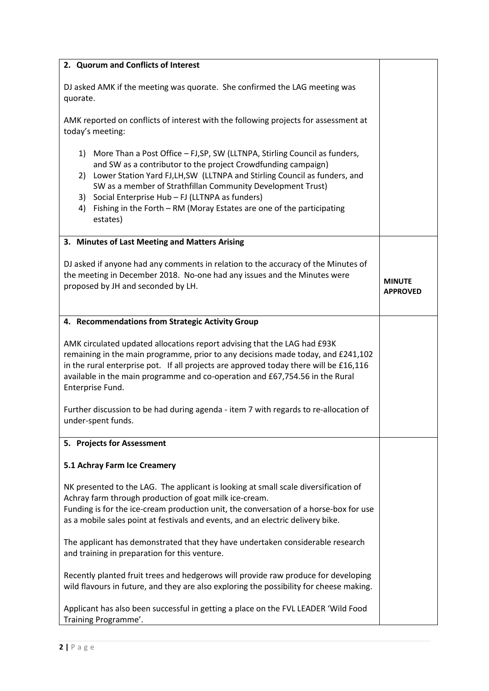| 2. Quorum and Conflicts of Interest                                                                                                                                                                                                                                                                                                                                                                                                                  |                                  |
|------------------------------------------------------------------------------------------------------------------------------------------------------------------------------------------------------------------------------------------------------------------------------------------------------------------------------------------------------------------------------------------------------------------------------------------------------|----------------------------------|
| DJ asked AMK if the meeting was quorate. She confirmed the LAG meeting was<br>quorate.                                                                                                                                                                                                                                                                                                                                                               |                                  |
| AMK reported on conflicts of interest with the following projects for assessment at<br>today's meeting:                                                                                                                                                                                                                                                                                                                                              |                                  |
| More Than a Post Office - FJ, SP, SW (LLTNPA, Stirling Council as funders,<br>1)<br>and SW as a contributor to the project Crowdfunding campaign)<br>2) Lower Station Yard FJ, LH, SW (LLTNPA and Stirling Council as funders, and<br>SW as a member of Strathfillan Community Development Trust)<br>Social Enterprise Hub - FJ (LLTNPA as funders)<br>3)<br>Fishing in the Forth - RM (Moray Estates are one of the participating<br>4)<br>estates) |                                  |
| 3. Minutes of Last Meeting and Matters Arising                                                                                                                                                                                                                                                                                                                                                                                                       |                                  |
| DJ asked if anyone had any comments in relation to the accuracy of the Minutes of<br>the meeting in December 2018. No-one had any issues and the Minutes were<br>proposed by JH and seconded by LH.                                                                                                                                                                                                                                                  | <b>MINUTE</b><br><b>APPROVED</b> |
| 4. Recommendations from Strategic Activity Group                                                                                                                                                                                                                                                                                                                                                                                                     |                                  |
| AMK circulated updated allocations report advising that the LAG had £93K<br>remaining in the main programme, prior to any decisions made today, and £241,102<br>in the rural enterprise pot. If all projects are approved today there will be £16,116<br>available in the main programme and co-operation and £67,754.56 in the Rural<br>Enterprise Fund.                                                                                            |                                  |
| Further discussion to be had during agenda - item 7 with regards to re-allocation of<br>under-spent funds.                                                                                                                                                                                                                                                                                                                                           |                                  |
| 5. Projects for Assessment                                                                                                                                                                                                                                                                                                                                                                                                                           |                                  |
| 5.1 Achray Farm Ice Creamery                                                                                                                                                                                                                                                                                                                                                                                                                         |                                  |
| NK presented to the LAG. The applicant is looking at small scale diversification of<br>Achray farm through production of goat milk ice-cream.<br>Funding is for the ice-cream production unit, the conversation of a horse-box for use<br>as a mobile sales point at festivals and events, and an electric delivery bike.                                                                                                                            |                                  |
| The applicant has demonstrated that they have undertaken considerable research<br>and training in preparation for this venture.                                                                                                                                                                                                                                                                                                                      |                                  |
| Recently planted fruit trees and hedgerows will provide raw produce for developing<br>wild flavours in future, and they are also exploring the possibility for cheese making.                                                                                                                                                                                                                                                                        |                                  |
| Applicant has also been successful in getting a place on the FVL LEADER 'Wild Food<br>Training Programme'.                                                                                                                                                                                                                                                                                                                                           |                                  |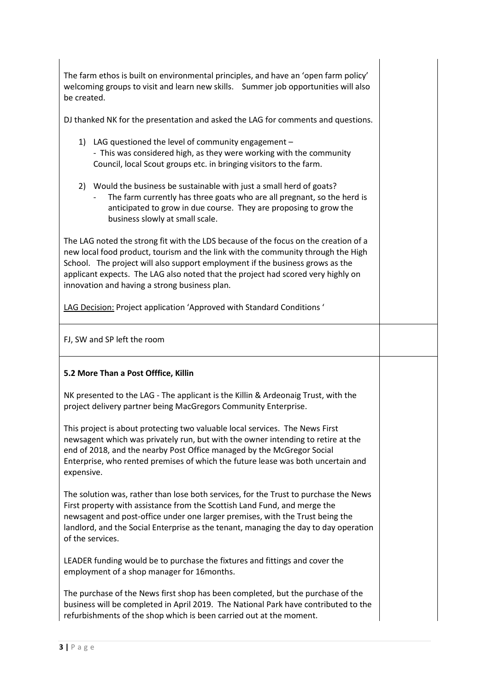The farm ethos is built on environmental principles, and have an 'open farm policy' welcoming groups to visit and learn new skills. Summer job opportunities will also be created.

DJ thanked NK for the presentation and asked the LAG for comments and questions.

- 1) LAG questioned the level of community engagement - This was considered high, as they were working with the community Council, local Scout groups etc. in bringing visitors to the farm.
- 2) Would the business be sustainable with just a small herd of goats?
	- The farm currently has three goats who are all pregnant, so the herd is anticipated to grow in due course. They are proposing to grow the business slowly at small scale.

The LAG noted the strong fit with the LDS because of the focus on the creation of a new local food product, tourism and the link with the community through the High School. The project will also support employment if the business grows as the applicant expects. The LAG also noted that the project had scored very highly on innovation and having a strong business plan.

LAG Decision: Project application 'Approved with Standard Conditions '

FJ, SW and SP left the room

## **5.2 More Than a Post Offfice, Killin**

NK presented to the LAG - The applicant is the Killin & Ardeonaig Trust, with the project delivery partner being MacGregors Community Enterprise.

This project is about protecting two valuable local services. The News First newsagent which was privately run, but with the owner intending to retire at the end of 2018, and the nearby Post Office managed by the McGregor Social Enterprise, who rented premises of which the future lease was both uncertain and expensive.

The solution was, rather than lose both services, for the Trust to purchase the News First property with assistance from the Scottish Land Fund, and merge the newsagent and post-office under one larger premises, with the Trust being the landlord, and the Social Enterprise as the tenant, managing the day to day operation of the services.

LEADER funding would be to purchase the fixtures and fittings and cover the employment of a shop manager for 16months.

The purchase of the News first shop has been completed, but the purchase of the business will be completed in April 2019. The National Park have contributed to the refurbishments of the shop which is been carried out at the moment.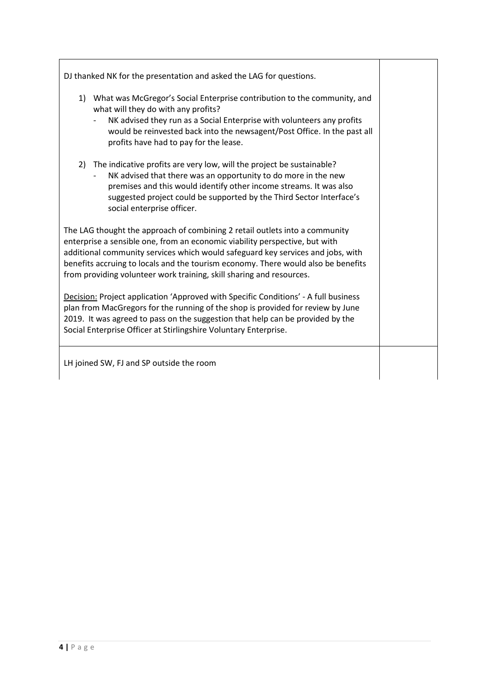DJ thanked NK for the presentation and asked the LAG for questions.

- 1) What was McGregor's Social Enterprise contribution to the community, and what will they do with any profits?
	- NK advised they run as a Social Enterprise with volunteers any profits would be reinvested back into the newsagent/Post Office. In the past all profits have had to pay for the lease.
- 2) The indicative profits are very low, will the project be sustainable?
	- NK advised that there was an opportunity to do more in the new premises and this would identify other income streams. It was also suggested project could be supported by the Third Sector Interface's social enterprise officer.

The LAG thought the approach of combining 2 retail outlets into a community enterprise a sensible one, from an economic viability perspective, but with additional community services which would safeguard key services and jobs, with benefits accruing to locals and the tourism economy. There would also be benefits from providing volunteer work training, skill sharing and resources.

Decision: Project application 'Approved with Specific Conditions' - A full business plan from MacGregors for the running of the shop is provided for review by June 2019. It was agreed to pass on the suggestion that help can be provided by the Social Enterprise Officer at Stirlingshire Voluntary Enterprise.

LH joined SW, FJ and SP outside the room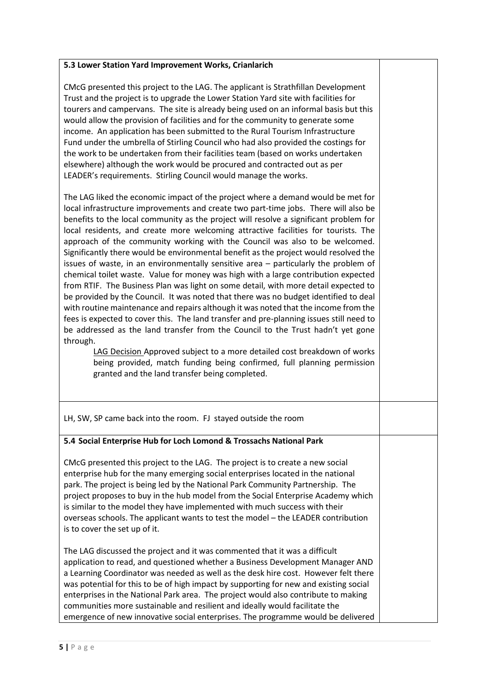# **5.3 Lower Station Yard Improvement Works, Crianlarich** CMcG presented this project to the LAG. The applicant is Strathfillan Development Trust and the project is to upgrade the Lower Station Yard site with facilities for tourers and campervans. The site is already being used on an informal basis but this would allow the provision of facilities and for the community to generate some income. An application has been submitted to the Rural Tourism Infrastructure Fund under the umbrella of Stirling Council who had also provided the costings for the work to be undertaken from their facilities team (based on works undertaken elsewhere) although the work would be procured and contracted out as per LEADER's requirements. Stirling Council would manage the works. The LAG liked the economic impact of the project where a demand would be met for local infrastructure improvements and create two part-time jobs. There will also be benefits to the local community as the project will resolve a significant problem for local residents, and create more welcoming attractive facilities for tourists*.* The approach of the community working with the Council was also to be welcomed. Significantly there would be environmental benefit as the project would resolved the issues of waste, in an environmentally sensitive area – particularly the problem of chemical toilet waste. Value for money was high with a large contribution expected from RTIF. The Business Plan was light on some detail, with more detail expected to be provided by the Council. It was noted that there was no budget identified to deal with routine maintenance and repairs although it was noted that the income from the fees is expected to cover this. The land transfer and pre-planning issues still need to be addressed as the land transfer from the Council to the Trust hadn't yet gone through. LAG Decision Approved subject to a more detailed cost breakdown of works being provided, match funding being confirmed, full planning permission granted and the land transfer being completed. LH, SW, SP came back into the room. FJ stayed outside the room **5.4 Social Enterprise Hub for Loch Lomond & Trossachs National Park**  CMcG presented this project to the LAG. The project is to create a new social enterprise hub for the many emerging social enterprises located in the national park. The project is being led by the National Park Community Partnership. The project proposes to buy in the hub model from the Social Enterprise Academy which is similar to the model they have implemented with much success with their overseas schools. The applicant wants to test the model – the LEADER contribution is to cover the set up of it. The LAG discussed the project and it was commented that it was a difficult application to read, and questioned whether a Business Development Manager AND a Learning Coordinator was needed as well as the desk hire cost. However felt there was potential for this to be of high impact by supporting for new and existing social enterprises in the National Park area. The project would also contribute to making communities more sustainable and resilient and ideally would facilitate the

emergence of new innovative social enterprises. The programme would be delivered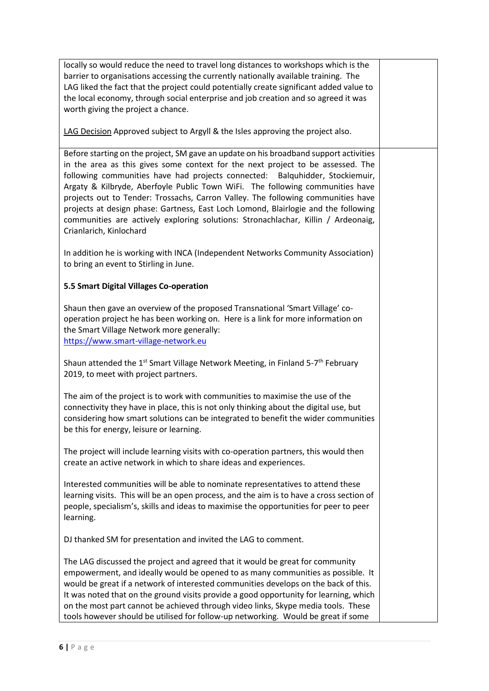| locally so would reduce the need to travel long distances to workshops which is the<br>barrier to organisations accessing the currently nationally available training. The<br>LAG liked the fact that the project could potentially create significant added value to<br>the local economy, through social enterprise and job creation and so agreed it was<br>worth giving the project a chance.                                                                                                                                                                                                                                      |  |
|----------------------------------------------------------------------------------------------------------------------------------------------------------------------------------------------------------------------------------------------------------------------------------------------------------------------------------------------------------------------------------------------------------------------------------------------------------------------------------------------------------------------------------------------------------------------------------------------------------------------------------------|--|
| LAG Decision Approved subject to Argyll & the Isles approving the project also.                                                                                                                                                                                                                                                                                                                                                                                                                                                                                                                                                        |  |
| Before starting on the project, SM gave an update on his broadband support activities<br>in the area as this gives some context for the next project to be assessed. The<br>following communities have had projects connected:<br>Balquhidder, Stockiemuir,<br>Argaty & Kilbryde, Aberfoyle Public Town WiFi. The following communities have<br>projects out to Tender: Trossachs, Carron Valley. The following communities have<br>projects at design phase: Gartness, East Loch Lomond, Blairlogie and the following<br>communities are actively exploring solutions: Stronachlachar, Killin / Ardeonaig,<br>Crianlarich, Kinlochard |  |
| In addition he is working with INCA (Independent Networks Community Association)<br>to bring an event to Stirling in June.                                                                                                                                                                                                                                                                                                                                                                                                                                                                                                             |  |
| 5.5 Smart Digital Villages Co-operation                                                                                                                                                                                                                                                                                                                                                                                                                                                                                                                                                                                                |  |
| Shaun then gave an overview of the proposed Transnational 'Smart Village' co-<br>operation project he has been working on. Here is a link for more information on<br>the Smart Village Network more generally:<br>https://www.smart-village-network.eu                                                                                                                                                                                                                                                                                                                                                                                 |  |
| Shaun attended the 1 <sup>st</sup> Smart Village Network Meeting, in Finland 5-7 <sup>th</sup> February<br>2019, to meet with project partners.                                                                                                                                                                                                                                                                                                                                                                                                                                                                                        |  |
| The aim of the project is to work with communities to maximise the use of the<br>connectivity they have in place, this is not only thinking about the digital use, but<br>considering how smart solutions can be integrated to benefit the wider communities<br>be this for energy, leisure or learning.                                                                                                                                                                                                                                                                                                                               |  |
| The project will include learning visits with co-operation partners, this would then<br>create an active network in which to share ideas and experiences.                                                                                                                                                                                                                                                                                                                                                                                                                                                                              |  |
| Interested communities will be able to nominate representatives to attend these<br>learning visits. This will be an open process, and the aim is to have a cross section of<br>people, specialism's, skills and ideas to maximise the opportunities for peer to peer<br>learning.                                                                                                                                                                                                                                                                                                                                                      |  |
| DJ thanked SM for presentation and invited the LAG to comment.                                                                                                                                                                                                                                                                                                                                                                                                                                                                                                                                                                         |  |
| The LAG discussed the project and agreed that it would be great for community<br>empowerment, and ideally would be opened to as many communities as possible. It<br>would be great if a network of interested communities develops on the back of this.<br>It was noted that on the ground visits provide a good opportunity for learning, which<br>on the most part cannot be achieved through video links, Skype media tools. These<br>tools however should be utilised for follow-up networking. Would be great if some                                                                                                             |  |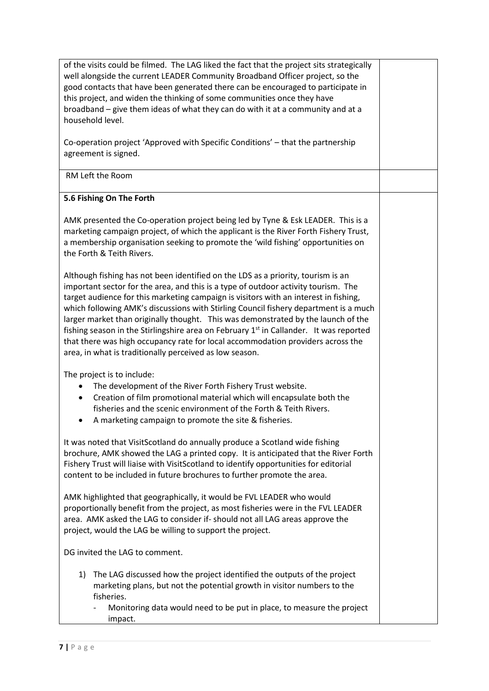of the visits could be filmed. The LAG liked the fact that the project sits strategically well alongside the current LEADER Community Broadband Officer project, so the good contacts that have been generated there can be encouraged to participate in this project, and widen the thinking of some communities once they have broadband – give them ideas of what they can do with it at a community and at a household level.

Co-operation project 'Approved with Specific Conditions' – that the partnership agreement is signed.

### RM Left the Room

#### **5.6 Fishing On The Forth**

AMK presented the Co-operation project being led by Tyne & Esk LEADER. This is a marketing campaign project, of which the applicant is the River Forth Fishery Trust, a membership organisation seeking to promote the 'wild fishing' opportunities on the Forth & Teith Rivers.

Although fishing has not been identified on the LDS as a priority, tourism is an important sector for the area, and this is a type of outdoor activity tourism. The target audience for this marketing campaign is visitors with an interest in fishing, which following AMK's discussions with Stirling Council fishery department is a much larger market than originally thought. This was demonstrated by the launch of the fishing season in the Stirlingshire area on February  $1<sup>st</sup>$  in Callander. It was reported that there was high occupancy rate for local accommodation providers across the area, in what is traditionally perceived as low season.

The project is to include:

- The development of the River Forth Fishery Trust website.
- Creation of film promotional material which will encapsulate both the fisheries and the scenic environment of the Forth & Teith Rivers.
- A marketing campaign to promote the site & fisheries.

It was noted that VisitScotland do annually produce a Scotland wide fishing brochure, AMK showed the LAG a printed copy. It is anticipated that the River Forth Fishery Trust will liaise with VisitScotland to identify opportunities for editorial content to be included in future brochures to further promote the area.

AMK highlighted that geographically, it would be FVL LEADER who would proportionally benefit from the project, as most fisheries were in the FVL LEADER area. AMK asked the LAG to consider if- should not all LAG areas approve the project, would the LAG be willing to support the project.

DG invited the LAG to comment.

- 1) The LAG discussed how the project identified the outputs of the project marketing plans, but not the potential growth in visitor numbers to the fisheries.
	- Monitoring data would need to be put in place, to measure the project impact.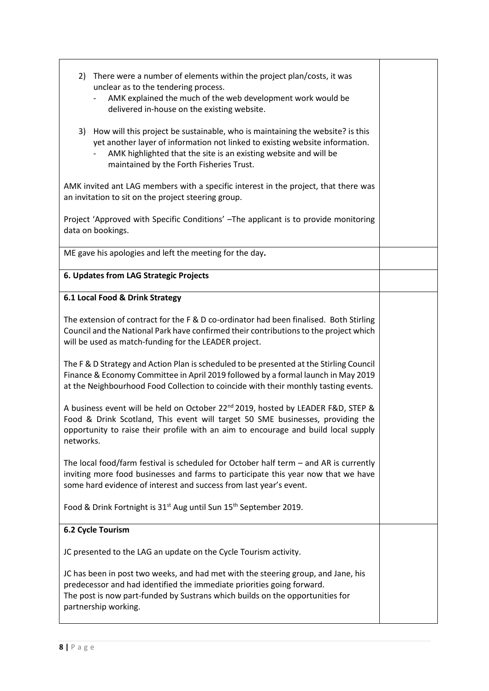| There were a number of elements within the project plan/costs, it was<br>2)<br>unclear as to the tendering process.<br>AMK explained the much of the web development work would be<br>delivered in-house on the existing website.                                                 |  |  |
|-----------------------------------------------------------------------------------------------------------------------------------------------------------------------------------------------------------------------------------------------------------------------------------|--|--|
| 3) How will this project be sustainable, who is maintaining the website? is this<br>yet another layer of information not linked to existing website information.<br>AMK highlighted that the site is an existing website and will be<br>maintained by the Forth Fisheries Trust.  |  |  |
| AMK invited ant LAG members with a specific interest in the project, that there was<br>an invitation to sit on the project steering group.                                                                                                                                        |  |  |
| Project 'Approved with Specific Conditions' -The applicant is to provide monitoring<br>data on bookings.                                                                                                                                                                          |  |  |
| ME gave his apologies and left the meeting for the day.                                                                                                                                                                                                                           |  |  |
| 6. Updates from LAG Strategic Projects                                                                                                                                                                                                                                            |  |  |
| 6.1 Local Food & Drink Strategy                                                                                                                                                                                                                                                   |  |  |
| The extension of contract for the F & D co-ordinator had been finalised. Both Stirling<br>Council and the National Park have confirmed their contributions to the project which<br>will be used as match-funding for the LEADER project.                                          |  |  |
| The F & D Strategy and Action Plan is scheduled to be presented at the Stirling Council<br>Finance & Economy Committee in April 2019 followed by a formal launch in May 2019<br>at the Neighbourhood Food Collection to coincide with their monthly tasting events.               |  |  |
| A business event will be held on October 22 <sup>nd</sup> 2019, hosted by LEADER F&D, STEP &<br>Food & Drink Scotland, This event will target 50 SME businesses, providing the<br>opportunity to raise their profile with an aim to encourage and build local supply<br>networks. |  |  |
| The local food/farm festival is scheduled for October half term - and AR is currently<br>inviting more food businesses and farms to participate this year now that we have<br>some hard evidence of interest and success from last year's event.                                  |  |  |
| Food & Drink Fortnight is 31 <sup>st</sup> Aug until Sun 15 <sup>th</sup> September 2019.                                                                                                                                                                                         |  |  |
| 6.2 Cycle Tourism                                                                                                                                                                                                                                                                 |  |  |
| JC presented to the LAG an update on the Cycle Tourism activity.                                                                                                                                                                                                                  |  |  |
| JC has been in post two weeks, and had met with the steering group, and Jane, his<br>predecessor and had identified the immediate priorities going forward.<br>The post is now part-funded by Sustrans which builds on the opportunities for<br>partnership working.              |  |  |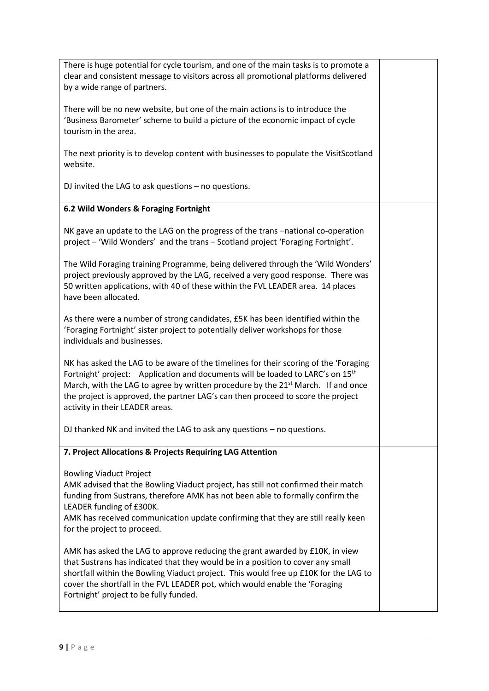| There is huge potential for cycle tourism, and one of the main tasks is to promote a<br>clear and consistent message to visitors across all promotional platforms delivered<br>by a wide range of partners.                                                                                                                                                                                               |  |
|-----------------------------------------------------------------------------------------------------------------------------------------------------------------------------------------------------------------------------------------------------------------------------------------------------------------------------------------------------------------------------------------------------------|--|
| There will be no new website, but one of the main actions is to introduce the<br>'Business Barometer' scheme to build a picture of the economic impact of cycle<br>tourism in the area.                                                                                                                                                                                                                   |  |
| The next priority is to develop content with businesses to populate the VisitScotland<br>website.                                                                                                                                                                                                                                                                                                         |  |
| DJ invited the LAG to ask questions $-$ no questions.                                                                                                                                                                                                                                                                                                                                                     |  |
| 6.2 Wild Wonders & Foraging Fortnight                                                                                                                                                                                                                                                                                                                                                                     |  |
| NK gave an update to the LAG on the progress of the trans -national co-operation<br>project - 'Wild Wonders' and the trans - Scotland project 'Foraging Fortnight'.                                                                                                                                                                                                                                       |  |
| The Wild Foraging training Programme, being delivered through the 'Wild Wonders'<br>project previously approved by the LAG, received a very good response. There was<br>50 written applications, with 40 of these within the FVL LEADER area. 14 places<br>have been allocated.                                                                                                                           |  |
| As there were a number of strong candidates, £5K has been identified within the<br>'Foraging Fortnight' sister project to potentially deliver workshops for those<br>individuals and businesses.                                                                                                                                                                                                          |  |
| NK has asked the LAG to be aware of the timelines for their scoring of the 'Foraging<br>Fortnight' project: Application and documents will be loaded to LARC's on 15 <sup>th</sup><br>March, with the LAG to agree by written procedure by the 21 <sup>st</sup> March. If and once<br>the project is approved, the partner LAG's can then proceed to score the project<br>activity in their LEADER areas. |  |
| DJ thanked NK and invited the LAG to ask any questions $-$ no questions.                                                                                                                                                                                                                                                                                                                                  |  |
| 7. Project Allocations & Projects Requiring LAG Attention                                                                                                                                                                                                                                                                                                                                                 |  |
| <b>Bowling Viaduct Project</b><br>AMK advised that the Bowling Viaduct project, has still not confirmed their match<br>funding from Sustrans, therefore AMK has not been able to formally confirm the<br>LEADER funding of £300K.<br>AMK has received communication update confirming that they are still really keen<br>for the project to proceed.                                                      |  |
| AMK has asked the LAG to approve reducing the grant awarded by £10K, in view<br>that Sustrans has indicated that they would be in a position to cover any small<br>shortfall within the Bowling Viaduct project. This would free up £10K for the LAG to<br>cover the shortfall in the FVL LEADER pot, which would enable the 'Foraging<br>Fortnight' project to be fully funded.                          |  |